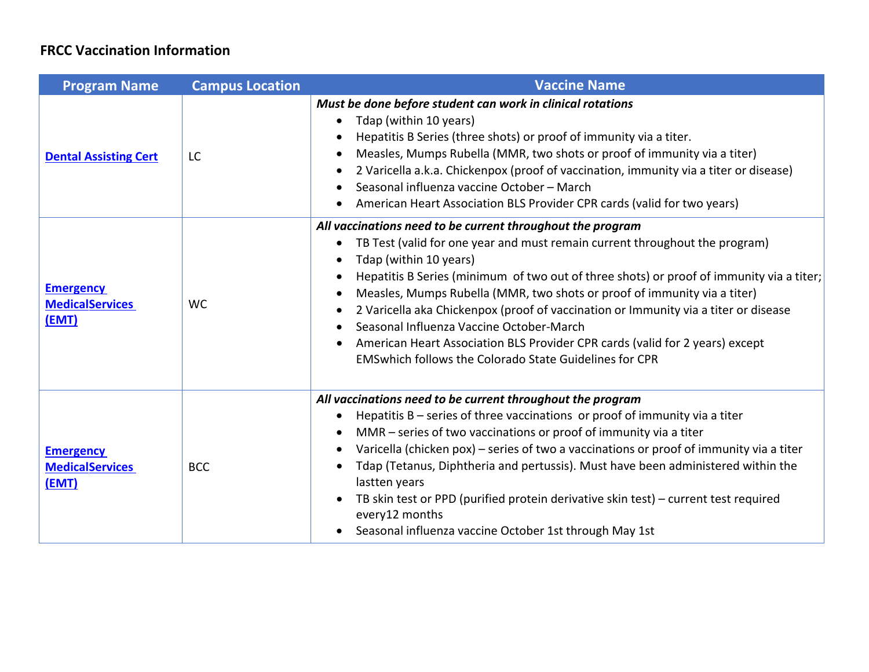| <b>Program Name</b>                                 | <b>Campus Location</b> | <b>Vaccine Name</b>                                                                                                                                                                                                                                                                                                                                                                                                                                                                                                                                                                                                                                                    |
|-----------------------------------------------------|------------------------|------------------------------------------------------------------------------------------------------------------------------------------------------------------------------------------------------------------------------------------------------------------------------------------------------------------------------------------------------------------------------------------------------------------------------------------------------------------------------------------------------------------------------------------------------------------------------------------------------------------------------------------------------------------------|
| <b>Dental Assisting Cert</b>                        | LC                     | Must be done before student can work in clinical rotations<br>Tdap (within 10 years)<br>$\bullet$<br>Hepatitis B Series (three shots) or proof of immunity via a titer.<br>Measles, Mumps Rubella (MMR, two shots or proof of immunity via a titer)<br>$\bullet$<br>2 Varicella a.k.a. Chickenpox (proof of vaccination, immunity via a titer or disease)<br>٠<br>Seasonal influenza vaccine October - March<br>American Heart Association BLS Provider CPR cards (valid for two years)                                                                                                                                                                                |
| <b>Emergency</b><br><b>MedicalServices</b><br>(EMT) | <b>WC</b>              | All vaccinations need to be current throughout the program<br>TB Test (valid for one year and must remain current throughout the program)<br>$\bullet$<br>Tdap (within 10 years)<br>Hepatitis B Series (minimum of two out of three shots) or proof of immunity via a titer;<br>Measles, Mumps Rubella (MMR, two shots or proof of immunity via a titer)<br>$\bullet$<br>2 Varicella aka Chickenpox (proof of vaccination or Immunity via a titer or disease<br>Seasonal Influenza Vaccine October-March<br>American Heart Association BLS Provider CPR cards (valid for 2 years) except<br>$\bullet$<br><b>EMSwhich follows the Colorado State Guidelines for CPR</b> |
| <b>Emergency</b><br><b>MedicalServices</b><br>(EMT) | <b>BCC</b>             | All vaccinations need to be current throughout the program<br>Hepatitis $B$ – series of three vaccinations or proof of immunity via a titer<br>$\bullet$<br>MMR – series of two vaccinations or proof of immunity via a titer<br>Varicella (chicken pox) – series of two a vaccinations or proof of immunity via a titer<br>$\bullet$<br>Tdap (Tetanus, Diphtheria and pertussis). Must have been administered within the<br>$\bullet$<br>lastten years<br>TB skin test or PPD (purified protein derivative skin test) – current test required<br>every12 months<br>Seasonal influenza vaccine October 1st through May 1st                                             |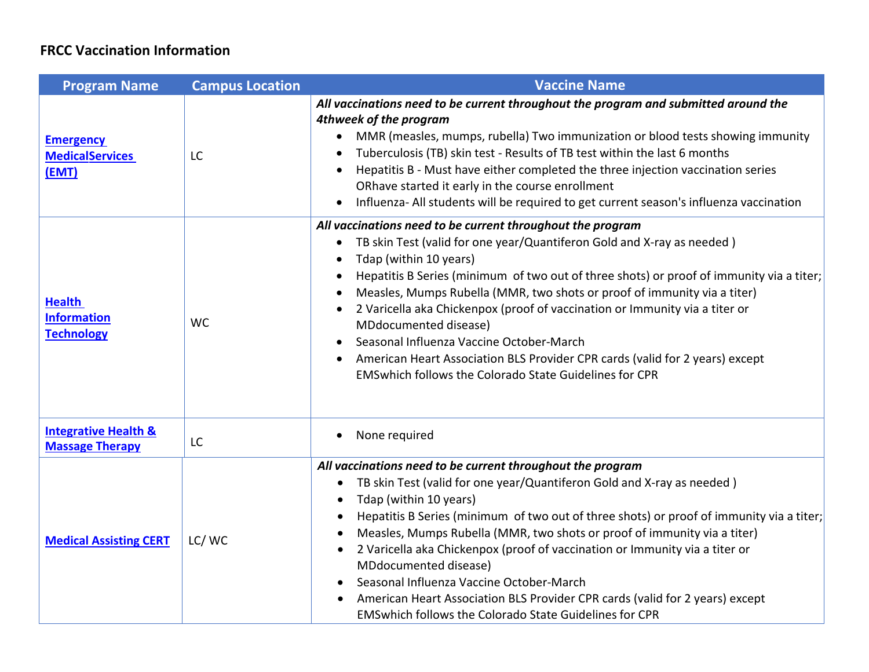| <b>Program Name</b>                                       | <b>Campus Location</b> | <b>Vaccine Name</b>                                                                                                                                                                                                                                                                                                                                                                                                                                                                                                                                                                                                                                                                             |
|-----------------------------------------------------------|------------------------|-------------------------------------------------------------------------------------------------------------------------------------------------------------------------------------------------------------------------------------------------------------------------------------------------------------------------------------------------------------------------------------------------------------------------------------------------------------------------------------------------------------------------------------------------------------------------------------------------------------------------------------------------------------------------------------------------|
| <b>Emergency</b><br><b>MedicalServices</b><br>(EMT)       | LC                     | All vaccinations need to be current throughout the program and submitted around the<br>4thweek of the program<br>MMR (measles, mumps, rubella) Two immunization or blood tests showing immunity<br>$\bullet$<br>Tuberculosis (TB) skin test - Results of TB test within the last 6 months<br>Hepatitis B - Must have either completed the three injection vaccination series<br>ORhave started it early in the course enrollment<br>Influenza- All students will be required to get current season's influenza vaccination                                                                                                                                                                      |
| <b>Health</b><br><b>Information</b><br><b>Technology</b>  | <b>WC</b>              | All vaccinations need to be current throughout the program<br>TB skin Test (valid for one year/Quantiferon Gold and X-ray as needed)<br>$\bullet$<br>Tdap (within 10 years)<br>$\bullet$<br>Hepatitis B Series (minimum of two out of three shots) or proof of immunity via a titer;<br>Measles, Mumps Rubella (MMR, two shots or proof of immunity via a titer)<br>2 Varicella aka Chickenpox (proof of vaccination or Immunity via a titer or<br>MDdocumented disease)<br>Seasonal Influenza Vaccine October-March<br>$\bullet$<br>American Heart Association BLS Provider CPR cards (valid for 2 years) except<br><b>EMSwhich follows the Colorado State Guidelines for CPR</b>              |
| <b>Integrative Health &amp;</b><br><b>Massage Therapy</b> | LC                     | None required                                                                                                                                                                                                                                                                                                                                                                                                                                                                                                                                                                                                                                                                                   |
| <b>Medical Assisting CERT</b>                             | LC/WC                  | All vaccinations need to be current throughout the program<br>TB skin Test (valid for one year/Quantiferon Gold and X-ray as needed)<br>$\bullet$<br>Tdap (within 10 years)<br>$\bullet$<br>Hepatitis B Series (minimum of two out of three shots) or proof of immunity via a titer;<br>Measles, Mumps Rubella (MMR, two shots or proof of immunity via a titer)<br>$\bullet$<br>2 Varicella aka Chickenpox (proof of vaccination or Immunity via a titer or<br>$\bullet$<br>MDdocumented disease)<br>Seasonal Influenza Vaccine October-March<br>American Heart Association BLS Provider CPR cards (valid for 2 years) except<br><b>EMSwhich follows the Colorado State Guidelines for CPR</b> |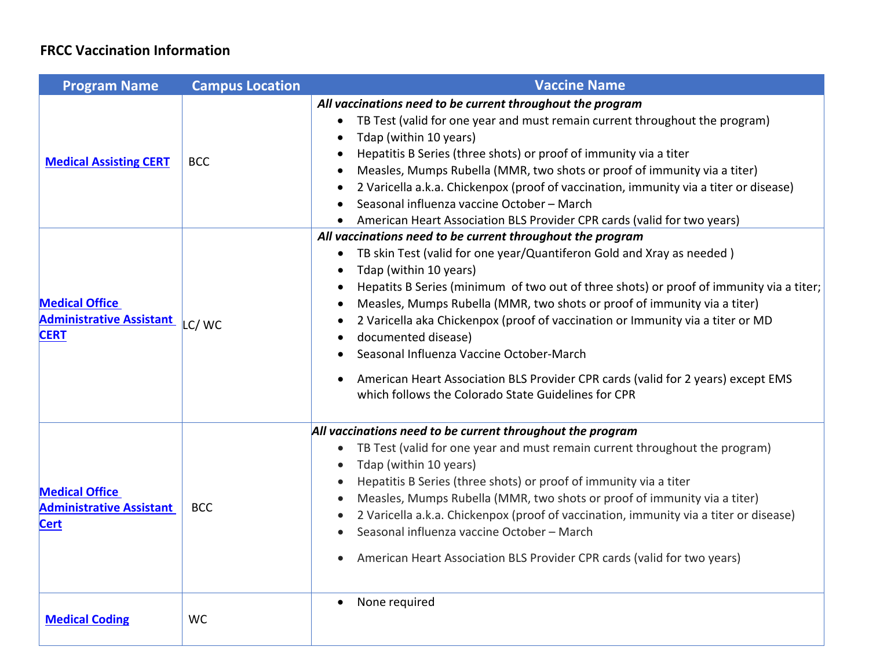| <b>Program Name</b>                                                     | <b>Campus Location</b> | <b>Vaccine Name</b>                                                                                                                                                                                                                                                                                                                                                                                                                                                                                                                                                                                                                                            |
|-------------------------------------------------------------------------|------------------------|----------------------------------------------------------------------------------------------------------------------------------------------------------------------------------------------------------------------------------------------------------------------------------------------------------------------------------------------------------------------------------------------------------------------------------------------------------------------------------------------------------------------------------------------------------------------------------------------------------------------------------------------------------------|
| <b>Medical Assisting CERT</b>                                           | <b>BCC</b>             | All vaccinations need to be current throughout the program<br>• TB Test (valid for one year and must remain current throughout the program)<br>Tdap (within 10 years)<br>Hepatitis B Series (three shots) or proof of immunity via a titer<br>Measles, Mumps Rubella (MMR, two shots or proof of immunity via a titer)<br>2 Varicella a.k.a. Chickenpox (proof of vaccination, immunity via a titer or disease)<br>$\bullet$<br>Seasonal influenza vaccine October - March<br>American Heart Association BLS Provider CPR cards (valid for two years)                                                                                                          |
| <b>Medical Office</b><br><b>Administrative Assistant</b><br><b>CERT</b> | LC/WC                  | All vaccinations need to be current throughout the program<br>TB skin Test (valid for one year/Quantiferon Gold and Xray as needed)<br>$\bullet$<br>Tdap (within 10 years)<br>$\bullet$<br>Hepatits B Series (minimum of two out of three shots) or proof of immunity via a titer;<br>Measles, Mumps Rubella (MMR, two shots or proof of immunity via a titer)<br>2 Varicella aka Chickenpox (proof of vaccination or Immunity via a titer or MD<br>documented disease)<br>Seasonal Influenza Vaccine October-March<br>American Heart Association BLS Provider CPR cards (valid for 2 years) except EMS<br>which follows the Colorado State Guidelines for CPR |
| <b>Medical Office</b><br><b>Administrative Assistant</b><br><b>Cert</b> | <b>BCC</b>             | All vaccinations need to be current throughout the program<br>TB Test (valid for one year and must remain current throughout the program)<br>$\bullet$<br>Tdap (within 10 years)<br>Hepatitis B Series (three shots) or proof of immunity via a titer<br>Measles, Mumps Rubella (MMR, two shots or proof of immunity via a titer)<br>$\bullet$<br>2 Varicella a.k.a. Chickenpox (proof of vaccination, immunity via a titer or disease)<br>Seasonal influenza vaccine October - March<br>American Heart Association BLS Provider CPR cards (valid for two years)                                                                                               |
| <b>Medical Coding</b>                                                   | <b>WC</b>              | None required                                                                                                                                                                                                                                                                                                                                                                                                                                                                                                                                                                                                                                                  |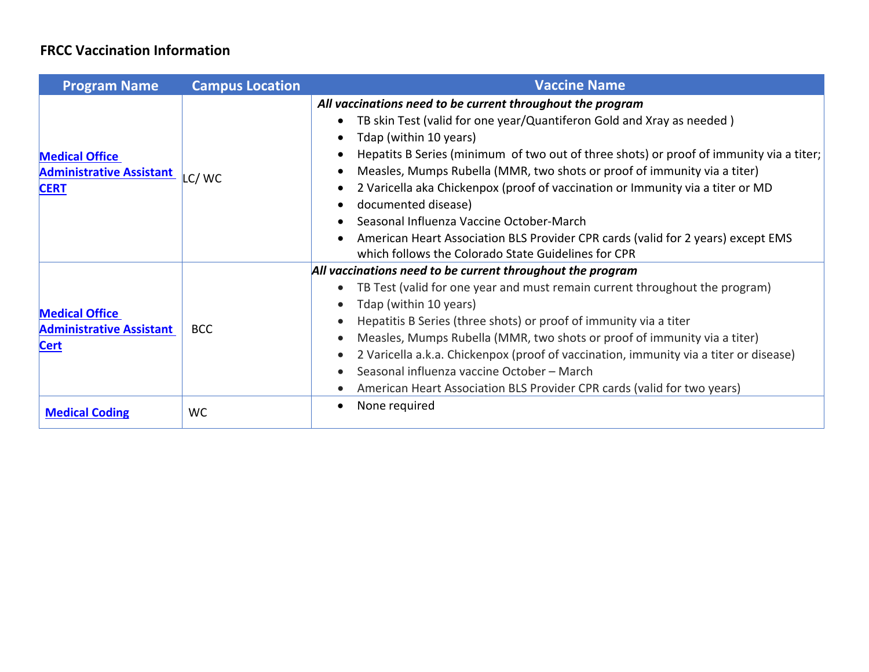| <b>Program Name</b>                                                     | <b>Campus Location</b> | <b>Vaccine Name</b>                                                                                                                                                                                                                                                                                                                                                                                                                                                                                                                                                                                                                  |
|-------------------------------------------------------------------------|------------------------|--------------------------------------------------------------------------------------------------------------------------------------------------------------------------------------------------------------------------------------------------------------------------------------------------------------------------------------------------------------------------------------------------------------------------------------------------------------------------------------------------------------------------------------------------------------------------------------------------------------------------------------|
| <b>Medical Office</b><br><b>Administrative Assistant</b><br><b>CERT</b> | LC/WC                  | All vaccinations need to be current throughout the program<br>TB skin Test (valid for one year/Quantiferon Gold and Xray as needed)<br>Tdap (within 10 years)<br>Hepatits B Series (minimum of two out of three shots) or proof of immunity via a titer;<br>Measles, Mumps Rubella (MMR, two shots or proof of immunity via a titer)<br>2 Varicella aka Chickenpox (proof of vaccination or Immunity via a titer or MD<br>documented disease)<br>Seasonal Influenza Vaccine October-March<br>American Heart Association BLS Provider CPR cards (valid for 2 years) except EMS<br>which follows the Colorado State Guidelines for CPR |
| <b>Medical Office</b><br><b>Administrative Assistant</b><br><b>Cert</b> | <b>BCC</b>             | All vaccinations need to be current throughout the program<br>TB Test (valid for one year and must remain current throughout the program)<br>Tdap (within 10 years)<br>Hepatitis B Series (three shots) or proof of immunity via a titer<br>Measles, Mumps Rubella (MMR, two shots or proof of immunity via a titer)<br>2 Varicella a.k.a. Chickenpox (proof of vaccination, immunity via a titer or disease)<br>Seasonal influenza vaccine October - March<br>American Heart Association BLS Provider CPR cards (valid for two years)                                                                                               |
| <b>Medical Coding</b>                                                   | <b>WC</b>              | None required                                                                                                                                                                                                                                                                                                                                                                                                                                                                                                                                                                                                                        |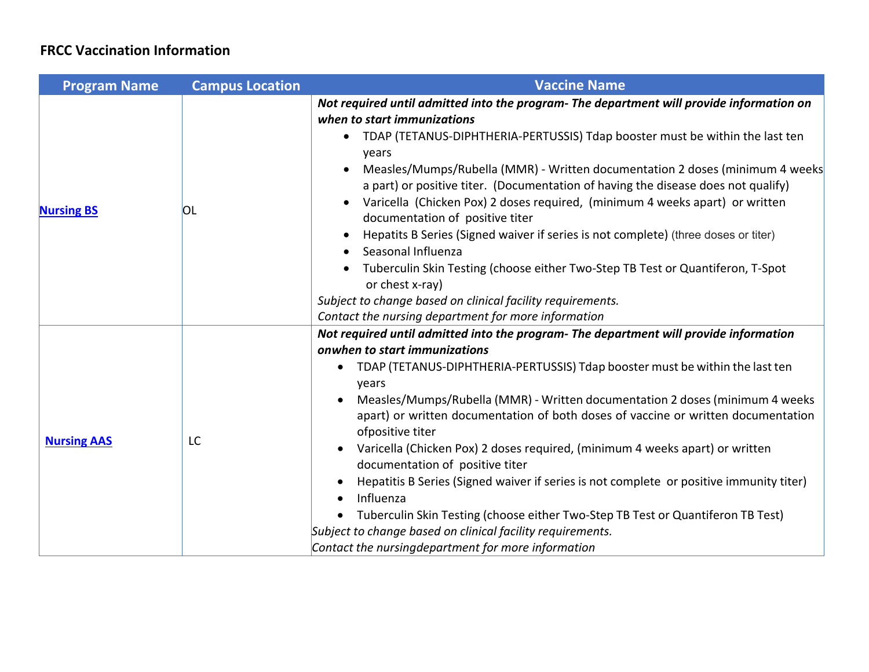| <b>Program Name</b> | <b>Campus Location</b> | <b>Vaccine Name</b>                                                                                                                                                                                                                                                                                                                                                                                                                                                                                                                                                                                                                                                                                                                                                                                                                                           |
|---------------------|------------------------|---------------------------------------------------------------------------------------------------------------------------------------------------------------------------------------------------------------------------------------------------------------------------------------------------------------------------------------------------------------------------------------------------------------------------------------------------------------------------------------------------------------------------------------------------------------------------------------------------------------------------------------------------------------------------------------------------------------------------------------------------------------------------------------------------------------------------------------------------------------|
| <b>Nursing BS</b>   | OL                     | Not required until admitted into the program- The department will provide information on<br>when to start immunizations<br>• TDAP (TETANUS-DIPHTHERIA-PERTUSSIS) Tdap booster must be within the last ten<br>years<br>Measles/Mumps/Rubella (MMR) - Written documentation 2 doses (minimum 4 weeks<br>a part) or positive titer. (Documentation of having the disease does not qualify)<br>Varicella (Chicken Pox) 2 doses required, (minimum 4 weeks apart) or written<br>$\bullet$<br>documentation of positive titer<br>Hepatits B Series (Signed waiver if series is not complete) (three doses or titer)<br>Seasonal Influenza<br>Tuberculin Skin Testing (choose either Two-Step TB Test or Quantiferon, T-Spot<br>or chest x-ray)<br>Subject to change based on clinical facility requirements.<br>Contact the nursing department for more information |
| <b>Nursing AAS</b>  | LC                     | Not required until admitted into the program- The department will provide information<br>onwhen to start immunizations<br>TDAP (TETANUS-DIPHTHERIA-PERTUSSIS) Tdap booster must be within the last ten<br>years<br>Measles/Mumps/Rubella (MMR) - Written documentation 2 doses (minimum 4 weeks<br>apart) or written documentation of both doses of vaccine or written documentation<br>ofpositive titer<br>Varicella (Chicken Pox) 2 doses required, (minimum 4 weeks apart) or written<br>documentation of positive titer<br>Hepatitis B Series (Signed waiver if series is not complete or positive immunity titer)<br>Influenza<br>Tuberculin Skin Testing (choose either Two-Step TB Test or Quantiferon TB Test)<br>Subject to change based on clinical facility requirements.<br>Contact the nursingdepartment for more information                    |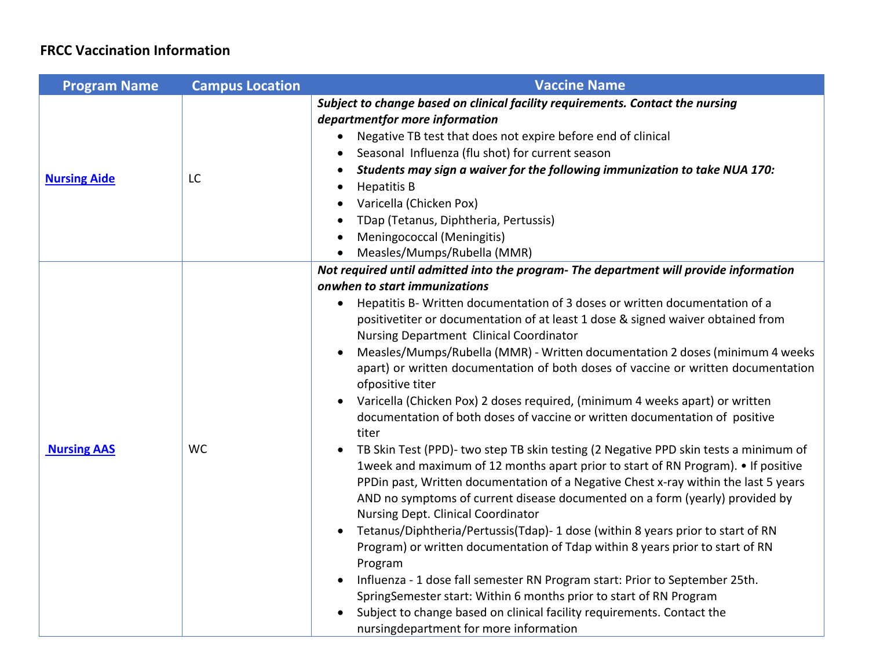| <b>Program Name</b> | <b>Campus Location</b> | <b>Vaccine Name</b>                                                                                                                                                                                                                                                                                                                                                                                                                                                                                                                                                                                                                                                                                                                                                                                                                                                                                                                                                                                                                                                                                                                                                                                                                                                                                                                                                                                                                                                                                                                                                              |
|---------------------|------------------------|----------------------------------------------------------------------------------------------------------------------------------------------------------------------------------------------------------------------------------------------------------------------------------------------------------------------------------------------------------------------------------------------------------------------------------------------------------------------------------------------------------------------------------------------------------------------------------------------------------------------------------------------------------------------------------------------------------------------------------------------------------------------------------------------------------------------------------------------------------------------------------------------------------------------------------------------------------------------------------------------------------------------------------------------------------------------------------------------------------------------------------------------------------------------------------------------------------------------------------------------------------------------------------------------------------------------------------------------------------------------------------------------------------------------------------------------------------------------------------------------------------------------------------------------------------------------------------|
| <b>Nursing Aide</b> | LC                     | Subject to change based on clinical facility requirements. Contact the nursing<br>departmentfor more information<br>Negative TB test that does not expire before end of clinical<br>Seasonal Influenza (flu shot) for current season<br>Students may sign a waiver for the following immunization to take NUA 170:<br><b>Hepatitis B</b><br>٠<br>Varicella (Chicken Pox)<br>TDap (Tetanus, Diphtheria, Pertussis)<br>Meningococcal (Meningitis)<br>Measles/Mumps/Rubella (MMR)                                                                                                                                                                                                                                                                                                                                                                                                                                                                                                                                                                                                                                                                                                                                                                                                                                                                                                                                                                                                                                                                                                   |
| <b>Nursing AAS</b>  | <b>WC</b>              | Not required until admitted into the program- The department will provide information<br>onwhen to start immunizations<br>Hepatitis B- Written documentation of 3 doses or written documentation of a<br>positivetiter or documentation of at least 1 dose & signed waiver obtained from<br>Nursing Department Clinical Coordinator<br>Measles/Mumps/Rubella (MMR) - Written documentation 2 doses (minimum 4 weeks<br>apart) or written documentation of both doses of vaccine or written documentation<br>ofpositive titer<br>Varicella (Chicken Pox) 2 doses required, (minimum 4 weeks apart) or written<br>$\bullet$<br>documentation of both doses of vaccine or written documentation of positive<br>titer<br>TB Skin Test (PPD)- two step TB skin testing (2 Negative PPD skin tests a minimum of<br>1week and maximum of 12 months apart prior to start of RN Program). • If positive<br>PPDin past, Written documentation of a Negative Chest x-ray within the last 5 years<br>AND no symptoms of current disease documented on a form (yearly) provided by<br>Nursing Dept. Clinical Coordinator<br>Tetanus/Diphtheria/Pertussis(Tdap)- 1 dose (within 8 years prior to start of RN<br>$\bullet$<br>Program) or written documentation of Tdap within 8 years prior to start of RN<br>Program<br>Influenza - 1 dose fall semester RN Program start: Prior to September 25th.<br>SpringSemester start: Within 6 months prior to start of RN Program<br>Subject to change based on clinical facility requirements. Contact the<br>nursingdepartment for more information |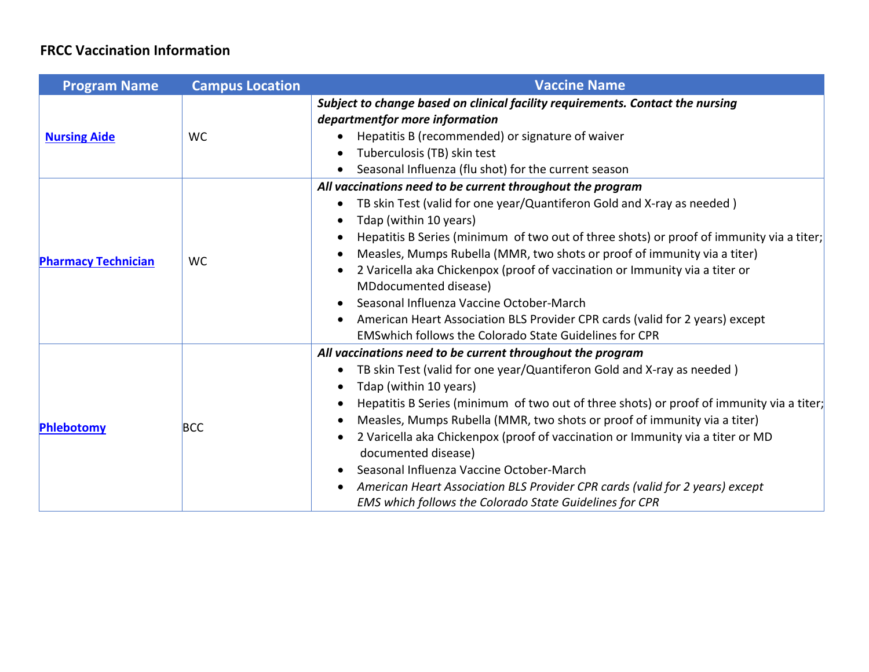| <b>Program Name</b>        | <b>Campus Location</b> | <b>Vaccine Name</b>                                                                                                                                                                                                                                                                                                                                                                                                                                                                                                                                                                                                                                                                                                  |
|----------------------------|------------------------|----------------------------------------------------------------------------------------------------------------------------------------------------------------------------------------------------------------------------------------------------------------------------------------------------------------------------------------------------------------------------------------------------------------------------------------------------------------------------------------------------------------------------------------------------------------------------------------------------------------------------------------------------------------------------------------------------------------------|
| <b>Nursing Aide</b>        | <b>WC</b>              | Subject to change based on clinical facility requirements. Contact the nursing<br>departmentfor more information<br>Hepatitis B (recommended) or signature of waiver<br>Tuberculosis (TB) skin test<br>$\bullet$<br>Seasonal Influenza (flu shot) for the current season                                                                                                                                                                                                                                                                                                                                                                                                                                             |
| <b>Pharmacy Technician</b> | <b>WC</b>              | All vaccinations need to be current throughout the program<br>TB skin Test (valid for one year/Quantiferon Gold and X-ray as needed)<br>$\bullet$<br>Tdap (within 10 years)<br>Hepatitis B Series (minimum of two out of three shots) or proof of immunity via a titer;<br>Measles, Mumps Rubella (MMR, two shots or proof of immunity via a titer)<br>$\bullet$<br>2 Varicella aka Chickenpox (proof of vaccination or Immunity via a titer or<br>$\bullet$<br>MDdocumented disease)<br>Seasonal Influenza Vaccine October-March<br>$\bullet$<br>American Heart Association BLS Provider CPR cards (valid for 2 years) except<br><b>EMS which follows the Colorado State Guidelines for CPR</b>                     |
| Phlebotomy                 | <b>BCC</b>             | All vaccinations need to be current throughout the program<br>TB skin Test (valid for one year/Quantiferon Gold and X-ray as needed)<br>$\bullet$<br>Tdap (within 10 years)<br>$\bullet$<br>Hepatitis B Series (minimum of two out of three shots) or proof of immunity via a titer;<br>$\bullet$<br>Measles, Mumps Rubella (MMR, two shots or proof of immunity via a titer)<br>$\bullet$<br>2 Varicella aka Chickenpox (proof of vaccination or Immunity via a titer or MD<br>$\bullet$<br>documented disease)<br>Seasonal Influenza Vaccine October-March<br>American Heart Association BLS Provider CPR cards (valid for 2 years) except<br>$\bullet$<br>EMS which follows the Colorado State Guidelines for CPR |